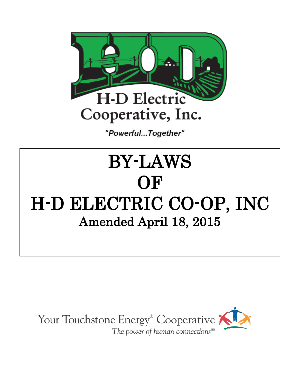

"Powerful...Together"

# **BY-LAWS** BY-LAWS **OF H-D ELECTRIC CO-OP, INC Amended March 15, 2008** OF H-D ELECTRIC CO-OP, INC Amended April 18, 2015

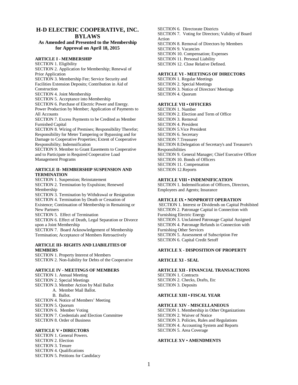## **H-D ELECTRIC COOPERATIVE, INC. BYLAWS**

## **As Amended and Presented to the Membership for Approval on April 18, 2015**

## **ARTICLE I - MEMBERSHIP**

SECTION 1. Eligibility SECTION 2. Application for Membership; Renewal of Prior Application SECTION 3. Membership Fee; Service Security and Facilities Extension Deposits; Contribution in Aid of **Construction** SECTION 4. Joint Membership SECTION 5. Acceptance into Membership SECTION 6. Purchase of Electric Power and Energy. Power Production by Member; Application of Payments to All Accounts SECTION 7. Excess Payments to be Credited as Member Furnished Capital SECTION 8. Wiring of Premises; Responsibility Therefor; Responsibility for Meter Tampering or Bypassing and for Damage to Cooperative Properties; Extent of Cooperative Responsibility; Indemnification SECTION 9. Member to Grant Easements to Cooperative

and to Participate in Required Cooperative Load Management Programs

#### **ARTICLE II- MEMBERSHIP SUSPENSION AND TERMINATION**

SECTION 1. Suspension; Reinstatement SECTION 2. Termination by Expulsion; Renewed Membership SECTION 3. Termination by Withdrawal or Resignation SECTION 4. Termination by Death or Cessation of Existence; Continuation of Membership in Remaining or New Partners SECTION 5. Effect of Termination SECTION 6. Effect of Death, Legal Separation or Divorce upon a Joint Membership SECTION 7. Board Acknowledgement of Membership Termination; Acceptance of Members Retroactively

#### **ARTICLE III- RIGHTS AND LIABILITIES OF MEMBERS**

SECTION 1. Property Interest of Members SECTION 2. Non-liability for Debts of the Cooperative

## **ARTICLE IV - MEETINGS OF MEMBERS**

SECTION 1. Annual Meeting SECTION 2. Special Meetings SECTION 3. Member Action by Mail Ballot A. Member Mail Ballot. B. Ballot. SECTION 4. Notice of Members' Meeting SECTION 5. Quorum SECTION 6. Member Voting SECTION 7. Credentials and Election Committee SECTION 8. Order of Business **ARTICLE V • DIRECTORS**

## SECTION 1. General Powers.

SECTION 2. Election SECTION 3. Tenure SECTION 4. Qualifications SECTION 5. Petitions for Candidacy SECTION 6. Directorate Districts SECTION 7. Voting for Directors; Validity of Board Action SECTION 8. Removal of Directors by Members SECTION 9. Vacancies SECTION 10. Compensation; Expenses SECTION 11. Personal Liability SECTION 12. Close Relative Defined.

#### **ARTICLE VI - MEETINGS OF DIRECTORS**

SECTION 1. Regular Meetings SECTION 2. Special Meetings SECTION 3. Notice of Directors' Meetings SECTION 4. Quorum

## **ARTICLE VII • OFFICERS**

SECTION 1. Number SECTION 2. Election and Term of Office SECTION 3. Removal SECTION 4. President SECTION 5.Vice President SECTION 6. Secretary SECTION 7.Treasurer SECTION 8.Delegation of Secretary's and Treasurer's Responsibilities SECTION 9. General Manager; Chief Executive Officer SECTION 10. Bonds of Officers SECTION 11. Compensation SECTION 12.Reports

#### **ARTICLE VIII • INDEMNIFICATION**

SECTION 1. Indemnification of Officers, Directors, Employees and Agents; Insurance

#### **ARTICLE IX • NONPROFIT OPERATION**

SECTION 1. Interest or Dividends on Capital Prohibited SECTION 2. Patronage Capital in Connection with Furnishing Electric Energy SECTION 3. Unclaimed Patronage Capital Assigned SECTION 4. Patronage Refunds in Connection with Furnishing Other Services SECTION 5. Assessment of Subscription Fee SECTION 6. Capital Credit Setoff

## **ARTICLE X - DISPOSITION OF PROPERTY**

## **ARTICLE XI - SEAL**

#### **ARTICLE XII - FINANCIAL TRANSACTIONS** SECTION 1. Contracts

SECTION 2. Checks, Drafts, Etc SECTION 3. Deposits

#### **ARTICLE XIII • FISCAL YEAR**

#### **ARTICLE XIV - MISCELLANEOUS**

SECTION 1. Membership in Other Organizations SECTION 2. Waiver of Notice SECTION 3. Policies, Rules and Regulations SECTION 4. Accounting System and Reports SECTION 5. Area Coverage

### **ARTICLE XV • AMENDMENTS**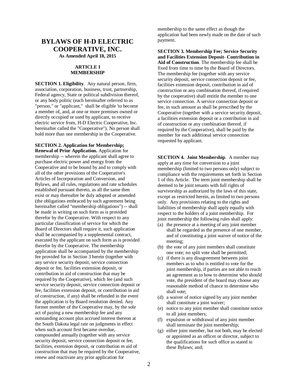## **BYLAWS OF H-D ELECTRIC COOPERATIVE, INC. As Amended April 18, 2015**

## **ARTICLE I MEMBERSHIP**

**SECTION 1. Eligibility.** Any natural person, firm, association, corporation, business, trust, partnership, Federal agency, State or political subdivision thereof, or any body politic (each hereinafter referred to as "person," or "applicant," shall be eligible 'to become a member of, and, at one or more premises owned or directly occupied or used by applicant, to receive electric service from, H-D Electric Cooperative, Inc. hereinafter called the "Cooperative"). No person shall hold more than one membership in the Cooperative.

## **SECTION 2. Application for Membership;**

**Renewal of Prior Application.** Application for membership -- wherein the applicant shall agree to purchase electric power and energy from the Cooperative and to be bound by and to comply with all of the other provisions of the Cooperative's Articles of Incorporation and Conversion, and Bylaws, and all rules, regulations and rate schedules established pursuant thereto, as all the same then exist or may thereafter be duly adopted or amended (the obligations embraced by such agreement being hereinafter called "membership obligations") -- shall be made in writing on such form as is provided therefor by the Cooperative. With respect to any particular classification of service for which the Board of Directors shall require it, such application shall be accompanied by a supplemental contract, executed by the applicant on such form as is provided therefor by the Cooperative. The membership application shall be accompanied by the membership fee provided for in Section 3 herein (together with any service security deposit, service connection deposit or fee, facilities extension deposit, or contribution in aid of construction that may be required by the Cooperative), which fee (and such service security deposit, service connection deposit or fee, facilities extension deposit, or contribution in aid of construction, if any) shall be refunded in the event the application is by Board resolution denied. Any former member of the Cooperative may, by the sole act of paying a new membership fee and any outstanding account plus accrued interest thereon at the South Dakota legal rate on judgments in effect when such account first became overdue, compounded annually (together with any service security deposit, service connection deposit or fee, facilities, extension deposit, or contribution m aid of construction that may be required by the Cooperative, renew and reactivate any prior application for

membership to the same effect as though the application had been newly made on the date of such payment.

**SECTION 3. Membership Fee; Service Security and Facilities Extension Deposit- Contribution in Aid of Construction**. The membership fee shall be fixed from time to time by the Board of Directors. The membership fee (together with any service security deposit, service connection deposit or fee, facilities extension deposit, contribution in aid of construction or any combination thereof, if required by the cooperative) shall entitle the member to one service connection. A service connection deposit or fee, in such amount as shall be prescribed by the Cooperative (together with a service security deposit, a facilities extension deposit or a contribution in aid of construction or any combination thereof, if required by the Cooperative), shall be paid by the member for each additional service connection requested by applicant.

**SECTION 4. Joint Membership**. A member may apply at any time for conversion to a joint membership (limited to two persons only) subject to compliance with the requirements set forth in Section 1 of this Article. The term joint membership shall be deemed to be joint tenants with full rights of survivorship as authorized by the laws of this state, except as restricted herein, as limited to two persons only. Any provisions relating to the rights and liabilities of membership shall apply equally with respect to the holders of a joint membership. For joint membership the following rules shall apply:

- (a) the presence at a meeting of any joint member shall be regarded as the presence of one member, and of constituting a joint waiver of notice of the meeting;
- (b) the vote of any joint members shall constitute one vote; no split vote shall be permitted;
- (c) if there is any disagreement between joint members as to who is entitled to vote for the joint membership, if parties are not able to reach an agreement as to how to determine who should vote, the president of the board may choose any reasonable method of chance to determine who shall vote;
- (d) a waiver of notice signed by any joint member shall constitute a joint waiver;
- (e) notice to any joint member shall constitute notice to all joint members;
- (f) expulsion or withdrawal of any joint member shall terminate the joint membership;
- (g) either joint member, but not both, may be elected or appointed as an officer or director, subject to the qualifications for such office as stated in these Bylaws; and;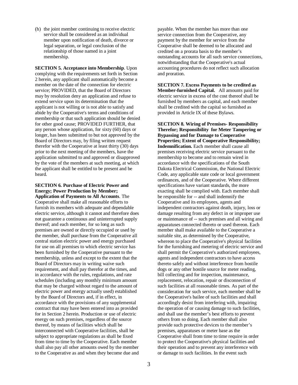(h) the joint member continuing to receive electric service shall be considered as an individual member upon notification of death, divorce or legal separation, or legal conclusion of the relationship of those named in a joint membership.

**SECTION 5. Acceptance into Membership**. Upon complying with the requirements set forth in Section 2 herein, any applicant shall automatically become a member on the date of the connection for electric service; PROVIDED, that the Board of Directors may by resolution deny an application and refuse to extend service upon its determination that the applicant is not willing or is not able to satisfy and abide by the Cooperative's terms and conditions of membership or that such application should be denied for other good cause; PROVIDED FURTHER, that any person whose application, for sixty (60) days or longer, has been submitted to but not approved by the Board of Directors may, by filing written request therefor with the Cooperative at least thirty (30) days prior to the next meeting of the members, have the application submitted to and approved or disapproved by the vote of the members at such meeting, at which the applicant shall be entitled to be present and be heard.

**SECTION 6. Purchase of Electric Power and Energy; Power Production by Member; Application of Payments to All Accounts**. The Cooperative shall make all reasonable efforts to furnish its members with adequate and dependable electric service, although it cannot and therefore does not guarantee a continuous and uninterrupted supply thereof; and each member, for so long as such premises are owned or directly occupied or used by the member, shall purchase from the Cooperative all central station electric power and energy purchased for use on all premises to which electric service has been furnished by the Cooperative pursuant to the membership, unless and except to the extent that the Board of Directors may in writing waive such requirement, and shall pay therefor at the times, and in accordance with the rules, regulations, and rate schedules (including any monthly minimum amount that may be charged without regard to the amount of electric power and energy actually used) established by the Board of Directors and, if in effect, in accordance with the provisions of any supplemental contract that may have been entered into as provided for in Section 2 herein. Production or use of electric energy on such premises, regardless of the source thereof, by means of facilities which shall be interconnected with Cooperative facilities, shall be subject to appropriate regulations as shall be fixed from time to time by the Cooperative. Each member shall also pay all other amounts owed by the member to the Cooperative as and when they become due and

payable. When the member has more than one service connection from the Cooperative, any payment by the member for service from the Cooperative shall be deemed to be allocated and credited on a prorata basis to the member's outstanding accounts for all such service connections, notwithstanding that the Cooperative's actual accounting procedures do not reflect such allocation and proration.

**SECTION 7. Excess Payments to be credited as Member-furnished Capital.** All amounts paid for electric service in excess of the cost thereof shall be furnished by members as capital, and each member shall be credited with the capital so furnished as provided in Article IX of these Bylaws.

**SECTION 8. Wiring of Premises- Responsibility Therefor; Responsibility for Meter Tampering or Bypassing and for Damage to Cooperative Properties; Extent of Cooperative Responsibility; Indemnification.** Each member shall cause all premises receiving electric service pursuant to the membership to become and to remain wired in accordance with the specifications of the South Dakota Electrical Commission, the National Electric Code, any applicable state code or local government ordinances, and of the Cooperative. Where different specifications have variant standards, the more exacting shall be complied with. Each member shall be responsible for -- and shall indemnify the Cooperative and its employees, agents and independent contractors against death, injury, loss or damage resulting from any defect in or improper use or maintenance of -- such premises and all wiring and apparatuses connected thereto or used thereon. Each member shall make available to the Cooperative a suitable site, as determined by the Cooperative, whereon to place the Cooperative's physical facilities for the furnishing and metering of electric service and shall permit the Cooperative's authorized employees, agents and independent contractors to have access thereto safely and without interference from hostile dogs or any other hostile source for meter reading, bill collecting and for inspection, maintenance, replacement, relocation, repair or disconnection of such facilities at all reasonable times. As part of the consideration for such service, each member shall be the Cooperative's bailee of such facilities and shall accordingly desist from interfering with, impairing the operation of or causing damage to such facilities, and shall use the member's best efforts to prevent others from so doing. Each member shall also provide such protective devices to the member's premises, apparatuses or meter base as the Cooperative shall from time to time require in order to protect the Cooperative's physical facilities and their operation and to prevent any interference with or damage to such facilities. In the event such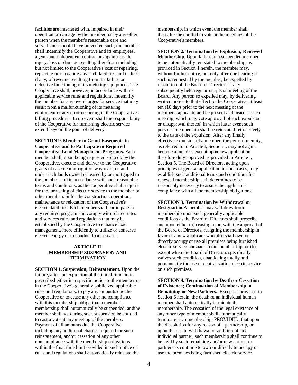facilities are interfered with, impaired in their operation or damage by the member, or by any other person when the member's reasonable care and surveillance should have prevented such, the member shall indemnify the Cooperative and its employees, agents and independent contractors against death, injury, loss or damage resulting therefrom including but not limited to the Cooperative's cost of repairing, replacing or relocating any such facilities and its loss, if any, of revenue resulting from the failure or defective functioning of its metering equipment. The Cooperative shall, however, in accordance with its applicable service rules and regulations, indemnify the member for any overcharges for service that may result from a malfunctioning of its metering equipment or any error occurring in the Cooperative's billing procedures. In no event shall the responsibility of the Cooperative for furnishing electric service extend beyond the point of delivery.

**SECTION 9. Member to Grant Easements to Cooperative and to Participate in Required Cooperative Load Management Programs.** Each member shall, upon being requested so to do by the Cooperative, execute and deliver to the Cooperative grants of easement or right-of-way over, on and under such lands owned or leased by or mortgaged to the member, and in accordance with such reasonable terms and conditions, as the cooperative shall require for the furnishing of electric service to the member or other members or for the construction, operation, maintenance or relocation of the Cooperative's electric facilities. Each member shall participate in any required program and comply with related rates and services rules and regulations that may be established by the Cooperative to enhance load management, more efficiently to utilize or conserve electric energy or to conduct load research.

## **ARTICLE II MEMBERSHIP SUSPENSION AND TERMINATION**

**SECTION 1. Suspension; Reinstatement**. Upon the failure, after the expiration of the initial time limit prescribed either in a specific notice to the member or in the Cooperative's generally publicized applicable rules and regulations, to pay any amounts due the Cooperative or to cease any other noncompliance with this membership obligation, a member's membership shall automatically be suspended; andthe member shall not during such suspension be entitled to cast a vote at any meeting of the members. Payment of all amounts due the Cooperative including any additional charges required for such reinstatement, and/or cessation of any other noncompliance with the membership obligations within the final time limit provided in such notice or rules and regulations shall automatically reinstate the

membership, in which event the member shall thereafter be entitled to vote at the meetings of the Cooperative's members.

**SECTION 2. Termination by Explusion; Renewed Membership**. Upon failure of a suspended member to be automatically reinstated to membership, as provided in Section 1 herein, the member may, without further notice, but only after due hearing if such is requested by the member, be expelled by resolution of the Board of Directors at any subsequently held regular or special meeting of the Board. Any person so expelled may, by delivering written notice to that effect to the Cooperative at least ten (10 days prior to the next meeting of the members, appeal to and be present and heard at such meeting, which may vote approval of such expulsion or disapproval thereof, in which latter event such person's membership shall be reinstated retroactively to the date of the expulsion. After any finally effective expulsion of a member, the person or entity, as referred to in Article I, Section I, may not again become a member except upon new application therefore duly approved as provided in Article I, Section 5. The Board of Directors, acting upon principles of general application in such cases, may establish such additional terms and conditions for renewed membership as it determines to be reasonably necessary to assure the applicant's compliance with all the membership obligations.

**SECTION 3. Termination by Withdrawal or Resignation** A member may withdraw from membership upon such generally applicable conditions as the Board of Directors shall prescribe and upon either (a) ceasing to or, with the approval of the Board of Directors, resigning the membership in favor of a new applicant who also shall own or directly occupy or use all premises being furnished electric service pursuant to the membership, or (b) except when the Board of Directors specifically waives such condition, abandoning totally and permanently the use of central station electric service on such premises.

**SECTION 4. Termination by Death or Cessation of Existence; Continuation of Membership in Remaining or New Partners.** Except as provided in Section 6 herein, the death of an individual human member shall automatically terminate the membership. The cessation of the legal existence of any other type of member shall automatically terminate such membership: PROVIDED, that upon the dissolution for any reason of a partnership, or upon the death, withdrawal or addition of any individual partner, such membership shall continue to be held by such remaining and/or new partner or partners as continue to own or directly to occupy or use the premises being furnished electric service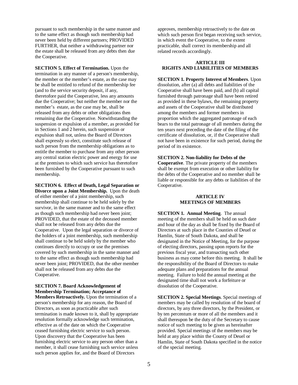pursuant to such membership in the same manner and to the same effect as though such membership had never been held by different partners; PROVIDED FURTHER, that neither a withdrawing partner nor the estate shall be released from any debts then due the Cooperative.

**SECTION 5. Effect of Termination.** Upon the termination in any manner of a person's membership, the member or the member's estate, as the case may be shall be entitled to refund of the membership fee (and to the service security deposit, if any, theretofore paid the Cooperative, less any amounts due the Cooperative; but neither the member nor the member's estate, as the case may be, shall be released from any debts or other obligations then remaining due the Cooperative. Notwithstanding the suspension or expulsion of a member, as provided for in Sections 1 and 2 herein, such suspension or expulsion shall not, unless the Board of Directors shall expressly so elect, constitute such release of such person from the membership obligations as to entitle the member to purchase from any other person any central station electric power and energy for use at the premises to which such service has theretofore been furnished by the Cooperative pursuant to such membership.

**SECTION 6. Effect of Death, Legal Separation or Divorce upon a Joint Membership.** Upon the death of either member of a joint membership, such membership shall continue to be held solely by the survivor, in the same manner and to the same effect as though such membership had never been joint; PROVIDED, that the estate of the deceased member shall not be released from any debts due the Cooperative. Upon the legal separation or divorce of the holders of a joint membership, such membership shall continue to be held solely by the member who continues directly to occupy or use the premises covered by such membership in the same manner and to the same effect as though such membership had never been joint; PROVIDED, that the other member shall not be released from any debts due the Cooperative.

## **SECTION 7. Board Acknowledgement of Membership Termination; Acceptance of**

**Members Retroactively.** Upon the termination of a person's membership for any reason, the Board of Directors, as soon as practicable after such termination is made known to it, shall by appropriate resolution formally acknowledge such termination, effective as of the date on which the Cooperative ceased furnishing electric service to such person. Upon discovery that the Cooperative has been furnishing electric service to any person other than a member, it shall cease furnishing such service unless such person applies for, and the Board of Directors

approves, membership retroactively to the date on which such person first began receiving such service, in which event the Cooperative, to the extent practicable, shall correct its membership and all related records accordingly.

## **ARTICLE III RIGHTS AND LIABILITIES OF MEMBERS**

**SECTION 1. Property Interest of Members**. Upon dissolution, after (a) all debts and liabilities of the Cooperative shall have been paid, and (b) all capital furnished through patronage shall have been retired as provided in these bylaws, the remaining property and assets of the Cooperative shall be distributed among the members and former members in proportion which the aggregated patronage of each bears to the total patronage of all members during the ten years next preceding the date of the filing of the certificate of dissolution, or, if the Cooperative shall not have been in existence for such period, during the period of its existence.

## **SECTION 2. Non-liability for Debts of the Cooperative**. The private property of the members shall be exempt from execution or other liability for the debts of the Cooperative and no member shall be liable or responsible for any debts or liabilities of the Cooperative.

#### **ARTICLE IV MEETINGS OF MEMBERS**

**SECTION 1. Annual Meeting**. The annual meeting of the members shall be held on such date and hour of the day as shall be fixed by the Board of Directors at such place in the Counties of Deuel or Hamlin, State of South Dakota, and shall be designated in the Notice of Meeting, for the purpose of electing directors, passing upon reports for the previous fiscal year, and transacting such other business as may come before this meeting. It shall be the responsibility of the Board of Directors to make adequate plans and preparations for the annual meeting. Failure to hold the annual meeting at the designated time shall not work a forfeiture or dissolution of the Cooperative.

**SECTION 2. Special Meetings**. Special meetings of members may be called by resolution of the board of directors, by any three directors, by the President, or by ten percentum or more of all the members and it shall thereupon be the duty of the Secretary to cause notice of such meeting to be given as hereinafter provided. Special meetings of the members may be held at any place within the County of Deuel or Hamlin, State of South Dakota specified in the notice of the special meeting.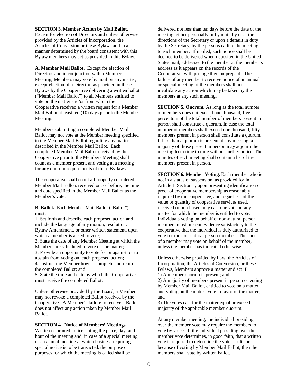## **SECTION 3. Member Action by Mail Ballot.**

Except for election of Directors and unless otherwise provided by the Articles of Incorporation, the Articles of Conversion or these Bylaws and in a manner determined by the board consistent with this Bylaw members may act as provided in this Bylaw.

**A. Member Mail Ballot.** Except for election of Directors and in conjunction with a Member Meeting, Members may vote by mail on any matter, except election of a Director, as provided in these Bylaws by the Cooperative delivering a written ballot ("Member Mail Ballot") to all Members entitled to vote on the matter and/or from whom the Cooperative received a written request for a Member Mail Ballot at least ten (10) days prior to the Member Meeting.

Members submitting a completed Member Mail Ballot may not vote at the Member meeting specified in the Member Mail Ballot regarding any matter described in the Member Mail Ballot. Each completed Member Mail Ballot received by the Cooperative prior to the Members Meeting shall count as a member present and voting at a meeting for any quorum requirements of these By-laws.

The cooperative shall count all properly completed Member Mail Ballots received on, or before, the time and date specified in the Member Mail Ballot as the Member's vote.

**B. Ballot.** Each Member Mail Ballot ("Ballot") must:

1. Set forth and describe each proposed action and include the language of any motion, resolution, Bylaw Amendment, or other written statement, upon which a member is asked to vote;

2. State the date of any Member Meeting at which the Members are scheduled to vote on the matter;

3. Provide an opportunity to vote for or against, or to abstain from voting on, each proposed action; 4. Instruct the Member how to complete and return the completed Ballot; and

5. State the time and date by which the Cooperative must receive the completed Ballot.

Unless otherwise provided by the Board, a Member may not revoke a completed Ballot received by the Cooperative. A Member's failure to receive a Ballot does not affect any action taken by Member Mail Ballot.

#### **SECTION 4. Notice of Members' Meetings.**

Written or printed notice stating the place, day, and hour of the meeting and, in case of a special meeting or an annual meeting at which business requiring special notice is to be transacted, the purpose or purposes for which the meeting is called shall be

delivered not less than ten days before the date of the meeting, either personally or by mail, by or at the directions of the Secretary or upon a default in duty by the Secretary, by the persons calling the meeting, to each member. If mailed, such notice shall be deemed to be delivered when deposited in the United States mail, addressed to the member at the member's address as it appears on the records of the Cooperative, with postage thereon prepaid. The failure of any member to receive notice of an annual or special meeting of the members shall not invalidate any action which may be taken by the members at any such meeting.

**SECTION 5. Quorum.** As long as the total number of members does not exceed one thousand, five percentum of the total number of members present in person shall constitute a quorum. In case the total number of members shall exceed one thousand, fifty members present in person shall constitute a quorum. If less than a quorum is present at any meeting, a majority of those present in person may adjourn the meeting from time to time without further notice. The minutes of each meeting shall contain a list of the members present in person.

**SECTION 6. Member Voting.** Each member who is not in a status of suspension, as provided for in Article II Section 1, upon presenting identification or proof of cooperative membership as reasonably required by the cooperative, and regardless of the value or quantity of cooperative services used, received or purchased may cast one vote on any matter for which the member is entitled to vote. Individuals voting on behalf of non-natural person members must present evidence satisfactory to the cooperative that the individual is duly authorized to vote for the non-natural person member. The spouse of a member may vote on behalf of the member, unless the member has indicated otherwise.

Unless otherwise provided by Law, the Articles of Incorporation, the Articles of Conversion, or these Bylaws, Members approve a matter and act if: 1) A member quorum is present; and

2) A majority of members present in person or voting by Member Mail Ballot, entitled to vote on a matter and voting on the matter, vote in favor of the matter; and

3) The votes cast for the matter equal or exceed a majority of the applicable member quorum.

At any member meeting, the individual presiding over the member vote may require the members to vote by voice. If the individual presiding over the member vote determines, in good faith, that a written vote is required to determine the vote results or because of voting by Member Mail Ballot, then the members shall vote by written ballot.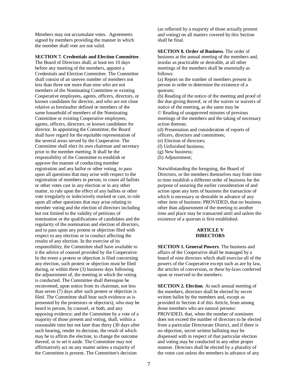Members may not accumulate votes. Agreements signed by members providing the manner in which the member shall vote are not valid.

**SECTION 7. Credentials and Election Committee**.

The Board of Directors shall, at least ten 10 days before any meeting of the members, appoint a Credentials and Election Committee. The Committee shall consist of an uneven number of members not less than three nor more than nine who are not members of the Nominating Committee or existing Cooperative employees, agents, officers, directors, or known candidates for director, and who are not close relative as hereinafter defined or members of the same household of members of the Nominating Committee or existing Cooperative employees, agents, officers, directors, or known candidates for director. In appointing the Committee, the Board shall have regard for the equitable representation of the several areas served by the Cooperative. The Committee shall elect its own chairman and secretary prior to the member meeting. It shall be the responsibility of the Committee to establish or approve the manner of conducting member registration and any ballot or other voting, to pass upon all questions that may arise with respect to the registration of members in person, to count all ballots or other votes cast in any election or in any other matter, to rule upon the effect of any ballots or other vote irregularly or indecisively marked or cast, to rule upon all other questions that may arise relating to member voting and the election of directors including but not limited to the validity of petitions of nomination or the qualifications of candidates and the regularity of the nomination and election of directors, and to pass upon any protest or objection filed with respect to any election or to conduct affecting the results of any election. In the exercise of its responsibility, the Committee shall have available to it the advice of counsel provided by the Cooperative. In the event a protest or objection is filed concerning any election, such protest or objection must be filed during, or within three (3) business days following the adjournment of, the meeting in which the voting is conducted. The Committee shall thereupon be reconvened, upon notice from its chairman, not less than seven (7) days after such protest or objection is filed. The Committee shall hear such evidence as is presented by the protestors or objectors), who may be heard in person, by counsel, or both, and any opposing evidence; and the Committee by a vote of a majority of those present and voting, shall, within a reasonable time but not later than thirty (30 days after such hearing, render its decision, the result of which may be to affirm the election, to change the outcome thereof, or to set it aside. The Committee may not affirmatively act on any matter unless a majority of the Committee is present. The Committee's decision

(as reflected by a majority of those actually present and voting) on all matters covered by this Section shall be final.

**SECTION 8. Order of Business**. The order of business at the annual meeting of the members and, insofar as practicable or desirable, at all other meetings of the members shall be essentially as follows:

(a) Report on the number of members present in person in order to determine the existence of a quorum;

(b) Reading of the notice of the meeting and proof of the due giving thereof, or of the waiver or waivers of notice of the meeting, as the same may be © Reading of unapproved minutes of previous meetings of the members and the taking of necessary action thereon;

- (d) Presentation and consideration of reports of officers, directors and committees;
- 
- (e) Election of directors;
- (f) Unfinished business;
- (g) New business;
- (h) Adjournment;

Notwithstanding the foregoing, the Board of Directors, or the members themselves may from time to time establish a different order of business for the purpose of assuring the earlier consideration of and action upon any item of business the transaction of which is necessary or desirable in advance of any other item of business: PROVIDED, that no business other than adjournment of the meeting to another time and place may be transacted until and unless the existence of a quorum is first established.

## **ARTICLE V DIRECTORS**

**SECTION 1. General Powers**. The business and affairs of the Cooperative shall be managed by a board of nine directors which shall exercise all of the powers of the Cooperative except such as are by law, the articles of conversion, or these by-laws conferred upon or reserved to the members.

**SECTION 2. Election**. At each annual meeting of the members, directors shall be elected by secret written ballot by the members and, except as provided in Section 4 of this Article, from among those members who are natural persons: PROVIDED, that, when the number of nominees does not exceed the number of directors to be elected from a particular Directorate District, and if there is no objection, secret written balloting may be dispensed with in respect of that particular election and voting may be conducted in any other proper manner. Directors shall be elected by a plurality of the votes cast unless the members in advance of any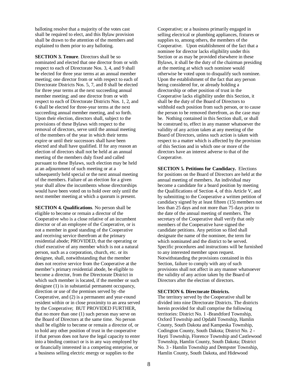balloting resolve that a majority of the votes cast shall be required to elect, and this Bylaw provision shall be drawn to the attention of the members and explained to them prior to any balloting.

**SECTION 3. Tenure**. Directors shall be so nominated and elected that one director from or with respect to each of Directorate Nos. 3, 4, and 9 shall be elected for three year terms at an annual member meeting; one director from or with respect to each of Directorate Districts Nos. 5, 7, and 8 shall be elected for three year terms at the next succeeding annual member meeting; and one director from or with respect to each of Directorate Districts Nos. 1, 2, and 6 shall be elected for three-year terms at the next succeeding annual member meeting, and so forth. Upon their election, directors shall, subject to the provisions of these Bylaws with respect to the removal of directors, serve until the annual meeting of the members of the year in which their terms expire or until their successors shall have been elected and shall have qualified. If for any reason an election of directors shall not be held at an annual meeting of the members duly fixed and called pursuant to these Bylaws, such election may be held at an adjournment of such meeting or at a subsequently held special or the next annual meeting of the members. Failure of an election for a given year shall allow the incumbents whose directorships would have been voted on to hold over only until the next member meeting at which a quorum is present.

**SECTION 4. Qualifications**. No person shall be eligible to become or remain a director of the Cooperative who is a close relative of an incumbent director or of an employee of the Cooperative, or is not a member in good standing of the Cooperative and receiving service therefrom at the primary residential abode; PROVIDED, that the operating or chief executive of any member which is not a natural person, such as a corporation, church, etc. or its designee, shall, notwithstanding that the member does not receive service from the Cooperative at the member's primary residential abode, be eligible to become a director, from the Directorate District in which such member is located, if the member or such designee (1) is in substantial permanent occupancy, direction or use of the premises served by -the Cooperative, and (2) is a permanent and year-round resident within or in close proximity to an area served by the Cooperative; BUT PROVIDED FURTHER, that no more than one (1) such person may serve on the Board of Directors at the same time. No person shall be eligible to become or remain a director of, or to hold any other position of trust in the cooperative if that person does not have the legal capacity to enter into a binding contract or is in any way employed by or financially interested in a competing enterprise, or a business selling electric energy or supplies to the

Cooperative; or a business primarily engaged in selling electrical or plumbing appliances, fixtures or supplies to, among others, the members of the Cooperative. Upon establishment of the fact that a nominee for director lacks eligibility under this Section or as may be provided elsewhere in these Bylaws, it shall be the duty of the chairman presiding at the meeting at which such nominee would otherwise be voted upon to disqualify such nominee. Upon the establishment of the fact that any person being considered for, or already holding a directorship or other position of trust in the Cooperative lacks eligibility under this Section, it shall be the duty of the Board of Directors to withhold each position from such person, or to cause the person to be removed therefrom, as the case may be. Nothing contained in this Section shall, or shall be construed to, effect in any manner whatsoever the validity of any action taken at any meeting of the Board of Directors, unless such action is taken with respect to a matter which is affected by the provision of this Section and in which one or more of the directors have an interest adverse to that of the Cooperative.

**SECTION 5. Petitions for Candidacy.** Elections for positions on the Board of Directors are held at the annual meeting of members. An individual may become a candidate for a board position by meeting the Qualifications of Section 4, of this Article V, and by submitting to the Cooperative a written petition of candidacy signed by at least fifteen (15) members not less than 25 days and not more than 75 days prior to the date of the annual meeting of members. The secretary of the Cooperative shall verify that only members of the Cooperative have signed the candidate petitions. Any petition so filed shall designate the name of the nominee, the term for which nominated and the district to be served. Specific procedures and instructions will be furnished to any interested member upon request. Notwithstanding the provisions contained in this Section, failure to comply with any of such provisions shall not affect in any manner whatsoever the validity of any action taken by the Board of Directors after the election of directors.

## **SECTION 6. Directorate Districts.**

The territory served by the Cooperative shall be divided into nine Directorate Districts. The districts herein provided for shall comprise the following territories: District No. 1 -Brandtford Township, Oxford Township and Opdahl Township, Hamlin County, South Dakota and Kampeska Township, Codington County, South Dakota; District No. 2 - Hayti Township, Florence Township and Castlewood Township, Hamlin County, South Dakota; District No. 3 - Hamlin Township and Dempster Township, Hamlin County, South Dakota, and Hidewood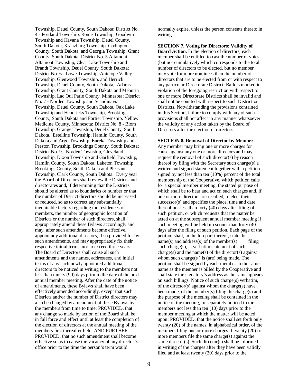Township, Deuel County, South Dakota; District No. 4 - Portland Township, Rome Township, Goodwin Township and Havana Township, Deuel County, South Dakota, Kranzburg Township, Codington County, South Dakota, and Georgia Township, Grant County, South Dakota; District No. 5 Altamont, Altamont Township, Clear Lake Township and Brandt Township, Deuel County, South Dakota; District No. 6 - Lowe Township, Antelope Valley Township, Glenwood Township, and Herrick Township, Deuel County, South Dakota, Adams Township, Grant County, South Dakota and Mehurin Township, Lac Qui Parle County, Minnesota; District No. 7 - Norden Township and Scandinavia Township, Deuel County, South Dakota, Oak Lake Township and Hendricks Township, Brookings County, South Dakota and Fortier Township, Yellow Medicine County, Minnesota; District No. 8 - Blom Township, Grange Township, Deuel County, South Dakota, Estelline Township, Hamlin County, South Dakota and Argo Township, Eureka Township and Preston Township, Brookings County, South Dakota; District No. 9 - Norden Township, Cleveland Township, Dixon Township and Garfield Township, Hamlin County, South Dakota, Laketon Township, Brookings County, South Dakota and Pleasant Township, Clark County, South Dakota. Every year the Board of Directors shall review the Districts and directorates and, if determining that the Districts should be altered as to boundaries or number or that the number of District directors should be increased or reduced, so as to correct any substantially inequitable factors regarding the residences of members, the number of geographic location of Districts or the number of such directors, shall appropriately amend these Bylaws accordingly and may, after such amendments become effective, appoint any additional directors, if so provided for by such amendments, and may appropriately fix their respective initial terms, not to exceed three years. The Board of Directors shall cause all such amendments and the names, addressees, and initial terms of any such newly appointed additional directors to be noticed in writing to the members not less than ninety (90) days prior to the date of the next annual member meeting. After the date of the notice of amendments, these Bylaws shall have been effectively amended accordingly, except that such Districts and/or the number of District directors may also be changed by amendment of these Bylaws by the members from time to time: PROVIDED, that any change so made by action of the Board shall be in full force and effect until at least the completion of the election of directors at the annual meeting of the members first thereafter held; AND FURTHER PROVIDED, that no such amendment shall become effective so as to cause the vacancy of any director 's office prior to the time the person's term would

normally expire, unless the person consents thereto in writing.

**SECTION 7. Voting for Directors; Validity of Board Action.** In the election of directors, each member shall be entitled to cast the number of votes (but not cumulatively which corresponds to the total number of directors to be elected, but no member may vote for more nominees than the number of directors that are to be elected from or with respect to any particular Directorate District. Ballots marked in violation of the foregoing restriction with respect to one or more Directorate Districts shall be invalid and shall not be counted with respect to such District or Districts. Notwithstanding the provisions contained in this Section, failure to comply with any of such provisions shall not affect in any manner whatsoever the validity of any action taken by the Board of Directors after the election of directors.

#### **SECTION 8. Removal of Director by Member.**

Any member may bring one or more charges for cause against any one or more directors and may request the removal of such director(s) by reason thereof by filing with the Secretary such charge(s) a written and signed statement together with a petition signed by not less than ten (10%) percent of the total membership of the Cooperative, which petition calls for a special member meeting, the stated purpose of which shall be to hear and act on such charges and, if one or more directors are recalled, to elect their successor(s) and specifies the place, time and date thereof not less than forty (40) days after filing of such petition, or which requests that the matter be acted on at the subsequent annual member meeting if such meeting will be held no sooner than forty (40 days after the filing of such petition. Each page of the petition shall, in the forepart thereof, state the  $name(s)$  and address(s) of the member(s) filing such charge(s), a verbatim statement of such charge(s) and the name(s) of the director(s) against whom such charge(s ) is (are) being made. The petition shall be signed by each member in the same name as the member is billed by the Cooperative and shall state the signatory's address as the same appears on such billings. Notice of such charge(s) verbatim, of the director(s) against whom the charge(s) have been made, of the member(s) filing the charge(s) and the purpose of the meeting shall be contained in the notice of the meeting, or separately noticed to the members not less than ten (10) days prior to the member meeting at which the matter will be acted upon: PROVIDED, that the notice shall set forth only twenty (20) of the names, in alphabetical order, of the members filing one or more charges if twenty (20) or more members file the same charge(s) against the same director(s). Such director(s) shall be informed in writing of the charges after they have been validly filed and at least twenty (20) days prior to the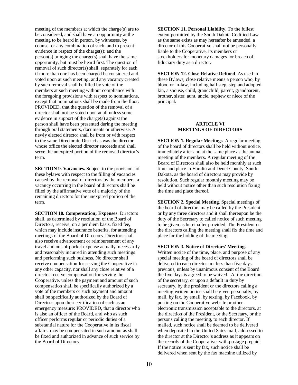meeting of the members at which the charge(s) are to be considered, and shall have an opportunity at the meeting to be heard in person, by witnesses, by counsel or any combination of such, and to present evidence in respect of the charge(s); and the  $person(s)$  bringing the charge(s) shall have the same opportunity, but must be heard first. The question of removal of such director(s) shall, separately for each if more than one has been charged be considered and voted upon at such meeting, and any vacancy created by such removal shall be filled by vote of the members at such meeting without compliance with the foregoing provisions with respect to nominations, except that nominations shall be made from the floor: PROVIDED, that the question of the removal of a director shall not be voted upon at all unless some evidence in support of the charge(s) against the person shall have been presented during the meeting through oral statements, documents or otherwise. A newly elected director shall be from or with respect to the same Directorate District as was the director whose office the elected director succeeds and shall serve the unexpired portion of the removed director's term.

**SECTION 9. Vacancies.** Subject to the provisions of these bylaws with respect to the filling of vacancies caused by the removal of directors by the members, a vacancy occurring in the board of directors shall be filled by the affirmative vote of a majority of the remaining directors for the unexpired portion of the term.

**SECTION 10. Compensation; Expenses**. Directors shall, as determined by resolution of the Board of Directors, receive, on a per diem basis, fixed fee, which may include insurance benefits, for attending meetings of the Board of Directors. Directors shall also receive advancement or reimbursement of any travel and out-of-pocket expense actually, necessarily and reasonably incurred in attending such meetings and performing such business. No director shall receive compensation for serving the Cooperative in any other capacity, nor shall any close relative of a director receive compensation for serving the Cooperative, unless the payment and amount of such compensation shall be specifically authorized by a vote of the members or such payment and amount shall be specifically authorized by the Board of Directors upon their certification of such as an emergency measure: PROVIDED, that a director who is also an officer of the Board, and who as such officer performs regular or periodic duties of a substantial nature for the Cooperative in its fiscal affairs, may be compensated in such amount as shall be fixed and authorized in advance of such service by the Board of Directors.

**SECTION 11. Personal Liability**. To the fullest extent permitted by the South Dakota Codified Law as the same exists as may hereafter be amended, a director of this Cooperative shall not be personally liable to the Cooperative, its members or stockholders for monetary damages for breach of fiduciary duty as a director.

**SECTION 12. Close Relative Defined**. As used in these Bylaws, close relative means a person who, by blood or in-law, including half step, step and adopted kin, a spouse, child, grandchild, parent, grandparent, brother, sister, aunt, uncle, nephew or niece of the principal.

#### **ARTICLE VI MEETINGS OF DIRECTORS**

**SECTION 1. Regular Meetings**. A regular meeting of the board of directors shall be held without notice, immediately after and at the same place as the annual meeting of the members. A regular meeting of the Board of Directors shall also be held monthly at such time and place in Hamlin and Deuel County, South Dakota, as the board of directors may provide by resolution. Such regular monthly meeting may be held without notice other than such resolution fixing the time and place thereof.

**SECTION 2. Special Meeting**. Special meetings of the board of directors may be called by the President or by any three directors and it shall thereupon be the duty of the Secretary to called notice of such meeting to be given as hereinafter provided. The President or the directors calling the meeting shall fix the time and place for the holding of the meeting.

#### **SECTION 3. Notice of Directors' Meetings**.

Written notice of the time, place, and purpose of any special meeting of the board of directors shall be delivered to each director not less than five days previous, unless by unanimous consent of the Board the five days is agreed to be waived. At the direction of the secretary, or upon a default in duty by secretary, by the president or the directors calling a meeting written notice shall be given personally, by mail, by fax, by email, by texting, by Facebook, by posting on the Cooperative website or other electronic transmission acceptable to the directors, at the direction of the President, or the Secretary, or the persons calling the meeting, to each director. If mailed, such notice shall be deemed to be delivered when deposited in the United Sates mail, addressed to the director at the Director's address as it appears on the records of the Cooperative, with postage prepaid. If the notice is sent by fax, such notice shall be delivered when sent by the fax machine utilized by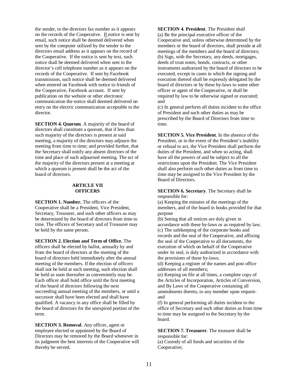the sender, to the directors fax number as it appears on the records of the Cooperative. If notice is sent by email, such notice shall be deemed delivered when sent by the computer utilized by the sender to the directors email address as it appears on the record of the Cooperative. If the notice is sent by text, such notice shall be deemed delivered when sent to the director's cell telephone number as it appears on the records of the Cooperative. If sent by Facebook transmission, such notice shall be deemed delivered when entered on Facebook with notice to friends of the Cooperative, Facebook account. If sent by publication on the website or other electronic communication the notice shall deemed delivered on entry on the electric communication acceptable to the director.

**SECTION 4. Quorum.** A majority of the board of directors shall constitute a quorum, that if less than such majority of the directors is present at said meeting, a majority of the directors may adjourn the meeting from time to time; and provided further, that the Secretary shall notify any absent directors of the time and place of such adjourned meeting. The act of the majority of the directors present at a meeting at which a quorum is present shall be the act of the board of directors.

## **ARTICLE VII OFFICERS**

**SECTION 1. Number.** The officers of the Cooperative shall be a President, Vice President, Secretary, Treasurer, and such other officers as may be determined by the board of directors from time to time. The officers of Secretary and of Treasurer may be held by the same person.

**SECTION 2. Election and Term of Office.** The officers shall be elected by ballot, annually by and from the board of directors at the meeting of the board of directors held immediately after the annual meeting of the members. If the election of officers shall not be held at such meeting, such election shall be held as soon thereafter as conveniently may be. Each officer shall hold office until the first meeting of the board of directors following the next succeeding annual meeting of the members, or until a successor shall have been elected and shall have qualified. A vacancy in any office shall be filled by the board of directors for the unexpired portion of the term.

**SECTION 3. Removal**. Any officer, agent or employee elected or appointed by the Board of Directors may be removed by the Board whenever in its judgment the best interests of the Cooperative will thereby be served.

**SECTION 4. President**. The President shall (a) Be the principal executive officer of the Cooperative and, unless otherwise determined by the members or the board of directors, shall preside at all meetings of the members and the board of directors; (b) Sign, with the Secretary, any deeds, mortgages, deeds of trust notes, bonds, contracts, or other instruments authorized by the board of directors to be executed, except in cases in which the signing and execution thereof shall be expressly delegated by the board of directors or by these by-laws to some other officer or agent of the Cooperative, or shall be required by law to be otherwise signed or executed; and

(c) In general perform all duties incident to the office of President and such other duties as may be prescribed by the Board of Directors from time to time.

**SECTION 5. Vice President**. In the absence of the President, or in the event of the President's inability or refusal to act, the Vice President shall perform the duties of the President, and when so acting, shall have all the powers of and be subject to all the restrictions upon the President. The Vice President shall also perform such other duties as from time to time may be assigned to the Vice President by the Board of Directors.

**SECTION 6. Secretary**. The Secretary shall be responsible for:

(a) Keeping the minutes of the meetings of the members, and of the board in books provided for that purpose

(b) Seeing that all notices are duly given in accordance with these by-laws or as required by law; (c) The safekeeping of the corporate books and records and the seal of the Cooperative, and affixing the seal of the Cooperative to all documents, the execution of which on behalf of the Cooperative under its seal, is duly authorized in accordance with the provisions of these by-laws;

(d) Keeping a register of the names and post office addresses of all members;

(e) Keeping on file at all times, a complete copy of the Articles of Incorporation, Articles of Conversion, and By Laws of the Cooperative containing all amendments thereto, to any member upon requestand

(f) In general performing all duties incident to the office of Secretary and such other duties as from time to time may be assigned to the Secretary by the board.

**SECTION 7. Treasurer**. The treasurer shall be responsible for:

(a) Custody of all funds and securities of the Cooperative;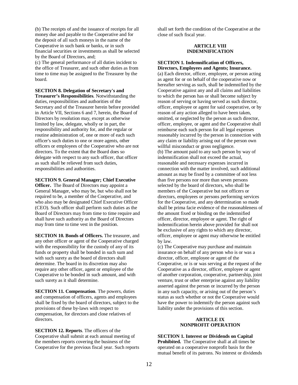(b) The receipts of and the issuance of receipts for all money due and payable to the Cooperative and for the deposit of all such moneys in the name of the Cooperative in such bank or banks, or in such financial securities or investments as shall be selected by the Board of Directors, and;

(c) The general performance of all duties incident to the office of Treasurer, and such other duties as from time to time may be assigned to the Treasurer by the board.

**SECTION 8. Delegation of Secretary's and** 

**Treasurer's Responsibilities**. Notwithstanding the duties, responsibilities and authorities of the Secretary and of the Treasurer herein before provided in Article VII, Sections 6 and 7, herein, the Board of Directors by resolution may, except as otherwise limited by law, delegate, wholly or in part, the responsibility and authority for, and the regular or routine administration of, one or more of each such officer's such duties to one or more agents, other officers or employees of the Cooperative who are not directors. To the extent that the Board does so delegate with respect to any such officer, that officer as such shall be relieved from such duties, responsibilities and authorities.

#### **SECTION 9. General Manager; Chief Executive**

**Officer.** The Board of Directors may appoint a General Manager, who may be, but who shall not be required to be, a member of the Cooperative, and who also may be designated Chief Executive Officer (CEO). Such officer shall perform such duties as the Board of Directors may from time to time require and shall have such authority as the Board of Directors may from time to time vest in the position.

**SECTION 10. Bonds of Officers.** The treasurer, and any other officer or agent of the Cooperative charged with the responsibility for the custody of any of its funds or property shall be bonded in such sum and with such surety as the board of directors shall determine. The board in its discretion may also require any other officer, agent or employee of the Cooperative to be bonded in such amount, and with such surety as it shall determine.

**SECTION 11. Compensation**. The powers, duties and compensation of officers, agents and employees shall be fixed by the board of directors, subject to the provisions of these by-laws with respect to compensation, for directors and close relatives of directors.

**SECTION 12. Reports**. The officers of the Cooperative shall submit at each annual meeting of the members reports covering the business of the Cooperative for the previous fiscal year. Such reports shall set forth the condition of the Cooperative at the close of such fiscal year.

## **ARTICLE VIII INDEMNIFICATION**

#### **SECTION 1. Indemnification of Officers, Directors, Employees and Agents; Insurance.**

(a) Each director, officer, employee, or person acting as agent for or on behalf of the cooperative now or hereafter serving as such, shall be indemnified by the Cooperative against any and all claims and liabilities to which the person has or shall become subject by reason of serving or having served as such director, officer, employee or agent for said cooperative, or by reason of any action alleged to have been taken, omitted, or neglected by the person as such director, officer, employee, or agent and the Cooperative shall reimburse each such person for all legal expenses reasonably incurred by the person in connection with any claim or liability arising out of the person own willful misconduct or gross negligence. (b) The amount paid to any such person by way of indemnification shall not exceed the actual, reasonable and necessary expenses incurred in connection with the matter involved, such additional amount as may be fixed by a committee of not less than five persons nor more than seven persons selected by the board of directors, who shall be members of the Cooperative but not officers or directors, employees or persons performing services for the Cooperative, and any determination so made shall be prima facie evidence of the reasonableness of the amount fixed or binding on the indemnified officer, director, employee or agent. The right of indemnification herein above provided for shall not be exclusive of any rights to which any director, officer, employee or agent may otherwise be entitled by law.

(c) The Cooperative may purchase and maintain insurance on behalf of any person who is or was a director, officer, employee or agent of the Cooperative, or is or was serving at the request of the Cooperative as a director, officer, employee or agent of another corporation, cooperative, partnership, joint venture, trust or other enterprise against any liability asserted against the person or incurred by the person in any such capacity, or arising out of the person's status as such whether or not the Cooperative would have the power to indemnify the person against such liability under the provisions of this section.

## **ARTICLE IX NONPROFIT OPERATION**

**SECTION 1. Interest or Dividends on Capital**  Prohibited. The Cooperative shall at all times be operated on a cooperative nonprofit basis for the mutual benefit of its patrons. No interest or dividends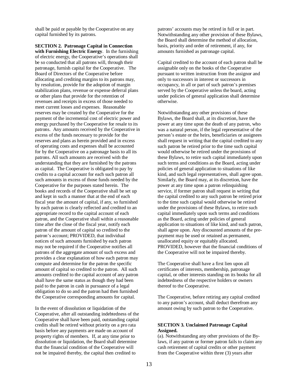shall be paid or payable by the Cooperative on any capital furnished by its patrons.

**SECTION 2. Patronage Capital in Connection with Furnishing Electric Energy**. In the furnishing of electric energy, the Cooperative's operations shall be so conducted that all patrons will, through their patronage, furnish capital for the Cooperative. The Board of Directors of the Cooperative before allocating and crediting margins to its patrons may, by resolution, provide for the adoption of margin stabilization plans, revenue or expense deferral plans or other plans that provide for the retention of revenues and receipts in excess of those needed to meet current losses and expenses. Reasonable reserves may be created by the Cooperative for the payment of the incremental cost of electric power and energy purchased by the Cooperative for resale to its patrons. Any amounts received by the Cooperative in excess of the funds necessary to provide for the reserves and plans as herein provided and in excess of operating costs and expenses shall be accounted for by the Cooperative on a patronage basis to all its patrons. All such amounts are received with the understanding that they are furnished by the patrons as capital. The Cooperative is obligated to pay by credits to a capital account for each such patron all such amounts in excess of those funds needed by the Cooperative for the purposes stated herein. The books and records of the Cooperative shall be set up and kept in such a manner that at the end of each fiscal year the amount of capital, if any, so furnished by each patron is clearly reflected and credited to an appropriate record to the capital account of each patron, and the Cooperative shall within a reasonable time after the close of the fiscal year, notify each patron of the amount of capital so credited to the patron's account; PROVIDED, that individual notices of such amounts furnished by each patron may not be required if the Cooperative notifies all patrons of the aggregate amount of such excess and provides a clear explanation of how each patron may compute and determine for the patron the specific amount of capital so credited to the patron. All such amounts credited to the capital account of any patron shall have the same status as though they had been paid to the patron in cash in pursuance of a legal obligation to do so and the patron had then furnished the Cooperative corresponding amounts for capital.

In the event of dissolution or liquidation of the Cooperative, after all outstanding indebtedness of the Cooperative shall have been paid, outstanding capital credits shall be retired without priority on a pro rata basis before any payments are made on account of property rights of members. If, at any time prior to dissolution or liquidation, the Board shall determine that the financial condition of the Cooperative will not be impaired thereby, the capital then credited to

patrons' accounts may be retired in full or in part. Notwithstanding any other provision of these Bylaws, the Board shall determine the method of allocation, basis, priority and order of retirement, if any, for amounts furnished as patronage capital.

Capital credited to the account of each patron shall be assignable only on the books of the Cooperative pursuant to written instruction from the assignor and only to successors in interest or successors in occupancy, in all or part of such patron's premises served by the Cooperative unless the board, acting under policies of general application shall determine otherwise.

Notwithstanding any other provisions of these Bylaws, the Board shall, at its discretion, have the power at any time upon the death of any patron, who was a natural person, if the legal representative of the person's estate or the heirs, beneficiaries or assignees shall request in writing that the capital credited to any such patron be retired prior to the time such capital would otherwise be retired under the provisions of these Bylaws, to retire such capital immediately upon such terms and conditions as the Board, acting under policies of general application to situations of like kind, and such legal representatives, shall agree upon. Similarly, the Board may, at its discretion, have the power at any time upon a patron relinquishing service, if former patron shall request in writing that the capital credited to any such patron be retired prior to the time such capital would otherwise be retired under the provisions of these Bylaws, to retire such capital immediately upon such terms and conditions as the Board, acting under policies of general application to situations of like kind, and such patron, shall agree upon. Any discounted amounts of the prepayment may be used or retained as permanent, unallocated equity or equitably allocated. PROVIDED, however that the financial conditions of the Cooperative will not be impaired thereby.

The Cooperative shall have a first lien upon all certificates of interests, membership, patronage capital, or other interests standing on its books for all indebtedness of the respective holders or owners thereof to the Cooperative.

The Cooperative, before retiring any capital credited to any patron's account, shall deduct therefrom any amount owing by such patron to the Cooperative.

## **SECTION 3. Unclaimed Patronage Capital Assigned.**

(a). Notwithstanding any other provisions of the Bylaws, if any patron or former patron fails to claim any cash retirement of capital credits or other payment from the Cooperative within three (3) years after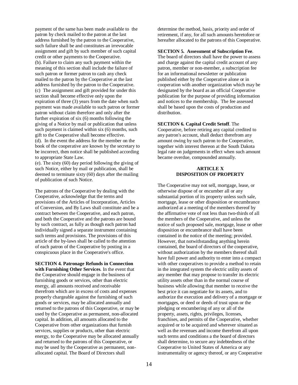payment of the same has been made available to the patron by check mailed to the patron at the last address furnished by the patron to the Cooperative, such failure shall be and constitutes an irrevocable assignment and gift by such member of such capital credit or other payments to the Cooperative. (b). Failure to claim any such payment within the meaning of this section shall include the failure of such patron or former patron to cash any check mailed to the patron by the Cooperative at the last address furnished by the patron to the Cooperative. (c) The assignment and gift provided for under this section shall become effective only upon the expiration of three (3) years from the date when such payment was made available to such patron or former patron without claim therefore and only after the further expiration of six (6) months following the giving of a Notice by mail or publication that unless such payment is claimed within six (6) months, such gift to the Cooperative shall become effective. (d). In the event the address for the member on the book of the cooperative are known by the secretary to be incorrect, then notice shall be published according to appropriate State Law.

(e). The sixty (60) day period following the giving of such Notice, either by mail or publication, shall be deemed to terminate sixty (60) days after the mailing of publication of such Notice.

The patrons of the Cooperative by dealing with the Cooperative, acknowledge that the terms and provisions of the Articles of Incorporation, Articles of Conversion, and By Laws shall constitute and be a contract between the Cooperative, and each patron, and both the Cooperative and the patrons are bound by such contract, as fully as though each patron had individually signed a separate instrument containing such terms and provisions. The provisions of this article of the by-laws shall be called to the attention of each patron of the Cooperative by posting in a conspicuous place in the Cooperative's office.

**SECTION 4. Patronage Refunds in Connection with Furnishing Other Services**. In the event that the Cooperative should engage in the business of furnishing goods or services, other than electric energy, all amounts received and receivable therefrom which are in excess of costs and expenses properly chargeable against the furnishing of such goods or services, may be allocated annually and returned to the patrons of this Cooperative, or may be used by the Cooperative as permanent, non-allocated capital. In addition, all amounts allocated to the Cooperative from other organizations that furnish services, supplies or products, other than electric energy, to the Cooperative may be allocated annually and returned to the patrons of this Cooperative, or may be used by the Cooperative as permanent, nonallocated capital. The Board of Directors shall

determine the method, basis, priority and order of retirement, if any, for all such amounts heretofore or hereafter allocated to the patrons of this Cooperative.

## **SECTION 5. Assessment of Subscription Fee**.

The board of directors shall have the power to assess and charge against the capital credit account of any patron, member or non-member, a subscription fee for an informational newsletter or publication published either by the Cooperative alone or in cooperation with another organization which may be designated by the board as an official Cooperative publication for the purpose of providing information and notices to the membership. The fee assessed shall be based upon the costs of production and distribution.

## **SECTION 6. Capital Credit Setoff**. The

Cooperative, before retiring any capital credited to any patron's account, shall deduct therefrom any amount owing by such patron to the Cooperative, together with interest thereon at the South Dakota legal rate on judgements in effect when such amount became overdue, compounded annually.

## **ARTICLE X DISPOSITION OF PROPERTY**

The Cooperative may not sell, mortgage, lease, or otherwise dispose of or encumber all or any substantial portion of its property unless such sale, mortgage, lease or other disposition or encumbrance authorized at a meeting of the members thereof by the affirmative vote of not less than two-thirds of all the members of the Cooperative, and unless the notice of such proposed sale, mortgage, lease or other disposition or encumbrance shall have been contained in the notice of the meeting; provided. However, that notwithstanding anything herein contained, the board of directors of the cooperative, without authorization by the members thereof shall have full power and authority to enter into a compact with other cooperatives to provide a method to retain in the integrated system the electric utility assets of any member that may propose to transfer its electric utility assets other than in the normal course of business while allowing that member to receive the best price it can negotiate for its assets, and to authorize the execution and delivery of a mortgage or mortgages, or deed or deeds of trust upon or the pledging or encumbering of any or all of the property, assets, rights, privileges, licenses, franchises, and permits of the Cooperative, whether acquired or to be acquired and wherever situated as well as the revenues and income therefrom all upon such terms and conditions a the board of directors shall determine, to secure any indebtedness of the Cooperative to United States of America or any instrumentality or agency thereof, or any Cooperative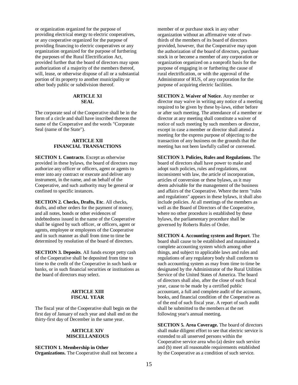or organization organized for the purpose of providing electrical energy to electric cooperatives, or any cooperative organized for the purpose of providing financing to electric cooperatives or any organization organized for the purpose of furthering the purposes of the Rural Electrification Act, provided further that the board of directors may upon authorization of a majority of the members thereof, will, lease, or otherwise dispose of all or a substantial portion of its property to another municipality or other body public or subdivision thereof.

## **ARTICLE XI SEAL**

The corporate seal of the Cooperative shall be in the form of a circle and shall have inscribed thereon the name of the Cooperative and the words "Corporate Seal (name of the State").

## **ARTICLE XII FINANCIAL TRANSACTIONS**

**SECTION 1. Contracts**. Except as otherwise provided in these bylaws, the board of directors may authorize any officer or officers, agent or agents to enter into any contract or execute and deliver any instrument, in the name, and on behalf of the Cooperative, and such authority may be general or confined to specific instances.

**SECTION 2. Checks, Drafts, Etc**. All checks, drafts, and other orders for the payment of money, and all notes, bonds or other evidences of indebtedness issued in the name of the Cooperative shall be signed by such officer, or officers, agent or agents, employee or employees of the Cooperative and in such manner as shall from time to time be determined by resolution of the board of directors.

**SECTION 3. Deposits**. All funds except petty cash of the Cooperative shall be deposited from time to time to the credit of the Cooperative in such bank or banks, or in such financial securities or institutions as the board of directors may select.

## **ARTICLE XIII FISCAL YEAR**

The fiscal year of the Cooperative shall begin on the first day of January of each year and shall end on the thirty-first day of December in the same year.

#### **ARTICLE XIV MISCELLANEOUS**

**SECTION 1. Membership in Other Organizations.** The Cooperative shall not become a

member of or purchase stock in any other organization without an affirmative vote of twothirds of the members of its board of directors provided, however, that the Cooperative may upon the authorization of the board of directors, purchase stock in or become a member of any corporation or organization organized on a nonprofit basis for the purpose of engaging in or furthering the cause of rural electrification, or with the approval of the Administrator of RUS, of any corporation for the purpose of acquiring electric facilities.

**SECTION 2. Waiver of Notice**. Any member or director may waive in writing any notice of a meeting required to be given by these by-laws, either before or after such meeting. The attendance of a member or director at any meeting shall constitute a waiver of notice of such meeting by such members or director, except in case a member or director shall attend a meeting for the express purpose of objecting to the transaction of any business on the grounds that the meeting has not been lawfully called or convened.

**SECTION 3. Policies, Rules and Regulations.** The board of directors shall have power to make and adopt such policies, rules and regulations, not inconsistent with law, the article of incorporation, articles of conversion or these bylaws, as it may deem advisable for the management of the business and affairs of the Cooperative. Where the term "rules and regulations" appears in these bylaws, it shall also include policies. At all meetings of the members as well as the Board of Directors of the Cooperative, where no other procedure is established by these bylaws, the parliamentary procedure shall be governed by Roberts Rules of Order.

**SECTION 4. Accounting system and Report**. The board shall cause to be established and maintained a complete accounting system which among other things, and subject to applicable laws and rules and regulations of any regulatory body shall conform to such accounting system as may from time to time be designated by the Administrator of the Rural Utilities Service of the United States of America. The board of directors shall also, after the close of each fiscal year, cause to be made by a certified public accountant, a full and complete audit of the accounts, books, and financial condition of the Cooperative as of the end of such fiscal year. A report of such audit shall be submitted to the members at the net following year's annual meeting.

**SECTION 5. Area Coverage.** The board of directors shall make diligent effort to see that electric service is extended to all unserved persons within the Cooperative service area who (a) desire such service and (b) meet all reasonable requirements established by the Cooperative as a condition of such service.